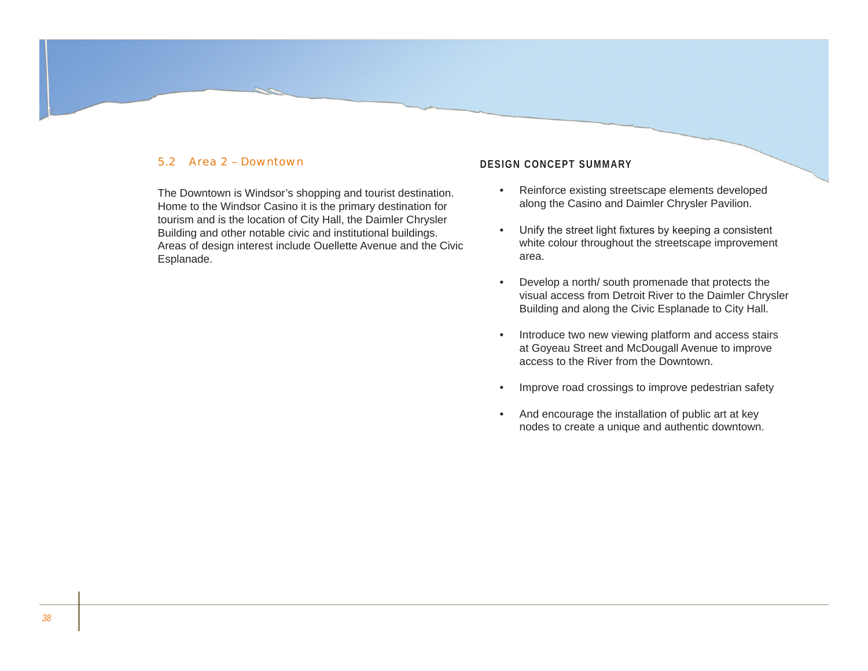## 5.2 Area 2 – Downtown

The Downtown is Windsor's shopping and tourist destination. Home to the Windsor Casino it is the primary destination for tourism and is the location of City Hall, the Daimler Chrysler Building and other notable civic and institutional buildings. Areas of design interest include Ouellette Avenue and the Civic Esplanade.

## **Design Concept Summary**

- Reinforce existing streetscape elements developed along the Casino and Daimler Chrysler Pavilion. •
- Unify the street light fixtures by keeping a consistent white colour throughout the streetscape improvement area. •
- Develop a north/ south promenade that protects the visual access from Detroit River to the Daimler Chrysler Building and along the Civic Esplanade to City Hall. •
- Introduce two new viewing platform and access stairs at Goyeau Street and McDougall Avenue to improve access to the River from the Downtown. •
- Improve road crossings to improve pedestrian safety •
- And encourage the installation of public art at key nodes to create a unique and authentic downtown.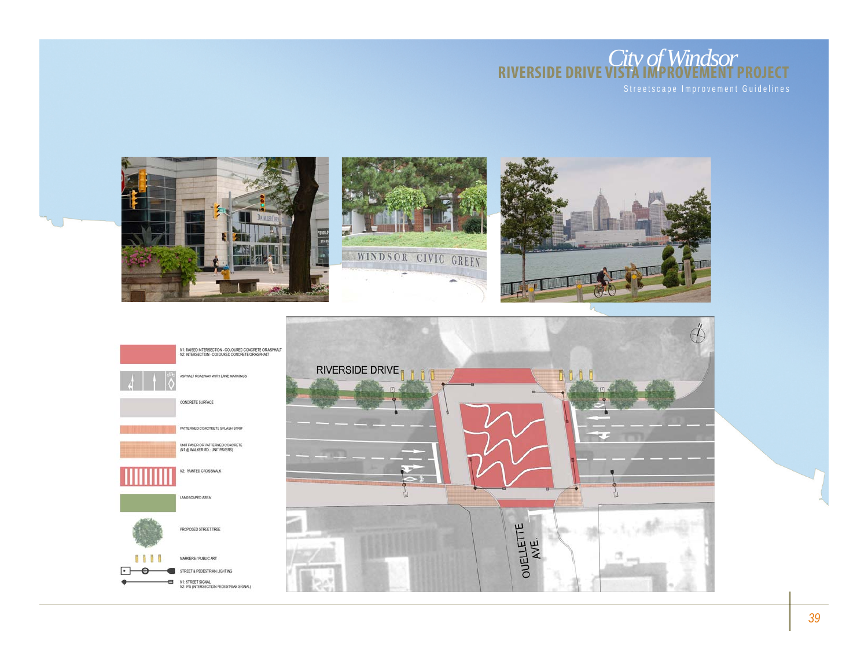



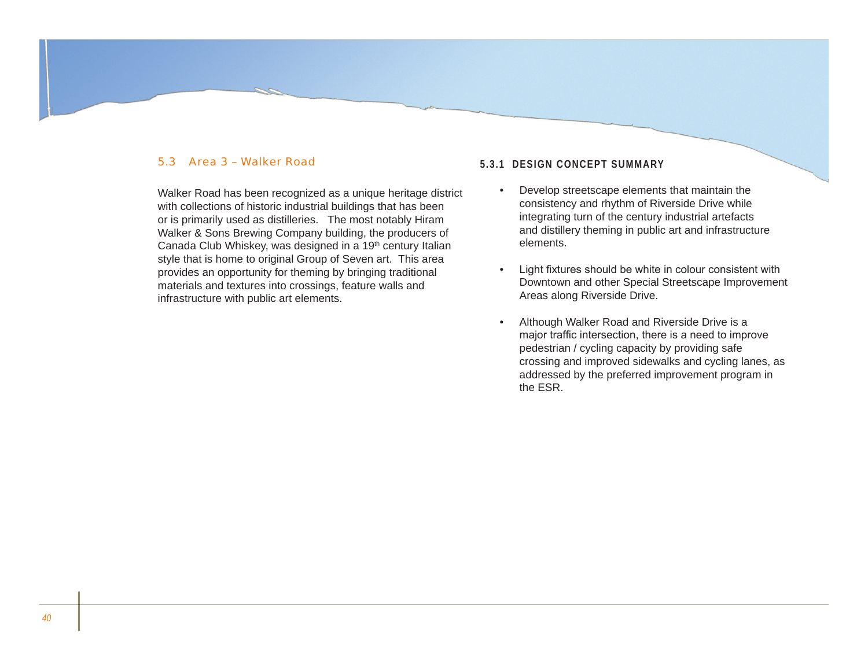## 5.3 Area 3 – Walker Road

Walker Road has been recognized as a unique heritage district with collections of historic industrial buildings that has been or is primarily used as distilleries. The most notably Hiram Walker & Sons Brewing Company building, the producers of Canada Club Whiskey, was designed in a 19<sup>th</sup> century Italian style that is home to original Group of Seven art. This area provides an opportunity for theming by bringing traditional materials and textures into crossings, feature walls and infrastructure with public art elements.

## **5.3.1 Design Concept Summary**

- Develop streetscape elements that maintain the consistency and rhythm of Riverside Drive while integrating turn of the century industrial artefacts and distillery theming in public art and infrastructure elements. •
- Light fixtures should be white in colour consistent with Downtown and other Special Streetscape Improvement Areas along Riverside Drive. •
- Although Walker Road and Riverside Drive is a major traffic intersection, there is a need to improve pedestrian / cycling capacity by providing safe crossing and improved sidewalks and cycling lanes, as addressed by the preferred improvement program in the ESR. •